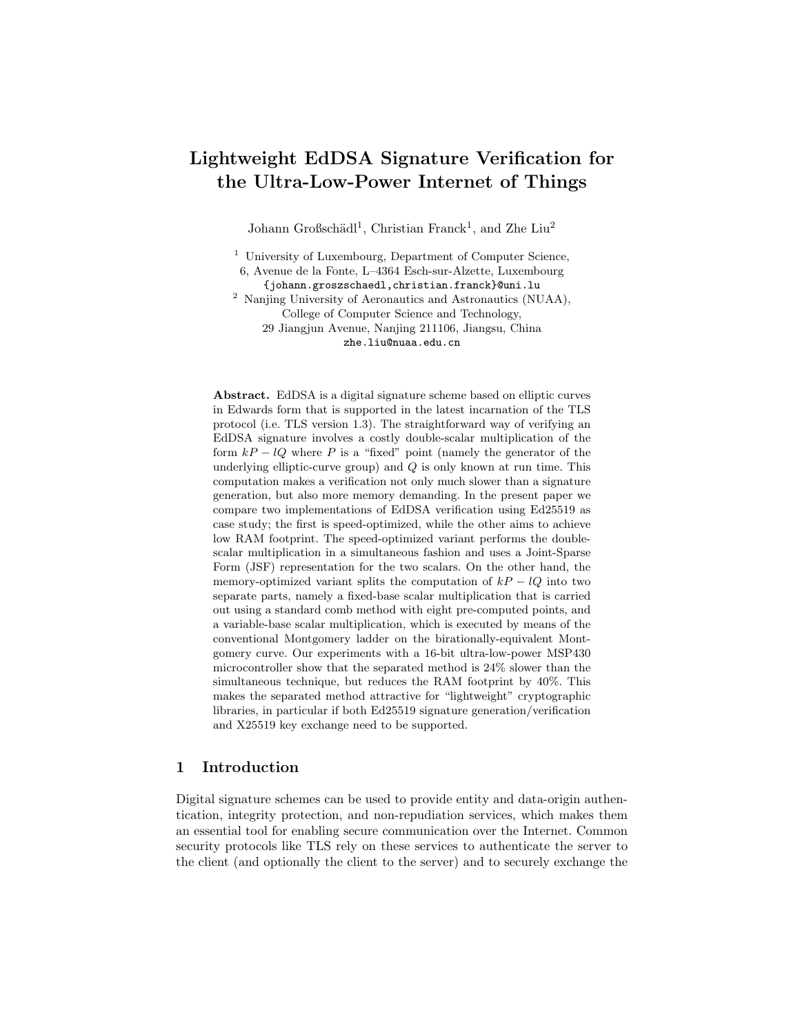# Lightweight EdDSA Signature Verification for the Ultra-Low-Power Internet of Things

Johann Großschädl<sup>1</sup>, Christian Franck<sup>1</sup>, and Zhe Liu<sup>2</sup>

<sup>1</sup> University of Luxembourg, Department of Computer Science, 6, Avenue de la Fonte, L–4364 Esch-sur-Alzette, Luxembourg

{johann.groszschaedl,christian.franck}@uni.lu

<sup>2</sup> Nanjing University of Aeronautics and Astronautics (NUAA), College of Computer Science and Technology, 29 Jiangjun Avenue, Nanjing 211106, Jiangsu, China zhe.liu@nuaa.edu.cn

Abstract. EdDSA is a digital signature scheme based on elliptic curves in Edwards form that is supported in the latest incarnation of the TLS protocol (i.e. TLS version 1.3). The straightforward way of verifying an EdDSA signature involves a costly double-scalar multiplication of the form  $kP - lQ$  where P is a "fixed" point (namely the generator of the underlying elliptic-curve group) and  $Q$  is only known at run time. This computation makes a verification not only much slower than a signature generation, but also more memory demanding. In the present paper we compare two implementations of EdDSA verification using Ed25519 as case study; the first is speed-optimized, while the other aims to achieve low RAM footprint. The speed-optimized variant performs the doublescalar multiplication in a simultaneous fashion and uses a Joint-Sparse Form (JSF) representation for the two scalars. On the other hand, the memory-optimized variant splits the computation of  $kP - lQ$  into two separate parts, namely a fixed-base scalar multiplication that is carried out using a standard comb method with eight pre-computed points, and a variable-base scalar multiplication, which is executed by means of the conventional Montgomery ladder on the birationally-equivalent Montgomery curve. Our experiments with a 16-bit ultra-low-power MSP430 microcontroller show that the separated method is 24% slower than the simultaneous technique, but reduces the RAM footprint by 40%. This makes the separated method attractive for "lightweight" cryptographic libraries, in particular if both Ed25519 signature generation/verification and X25519 key exchange need to be supported.

# 1 Introduction

Digital signature schemes can be used to provide entity and data-origin authentication, integrity protection, and non-repudiation services, which makes them an essential tool for enabling secure communication over the Internet. Common security protocols like TLS rely on these services to authenticate the server to the client (and optionally the client to the server) and to securely exchange the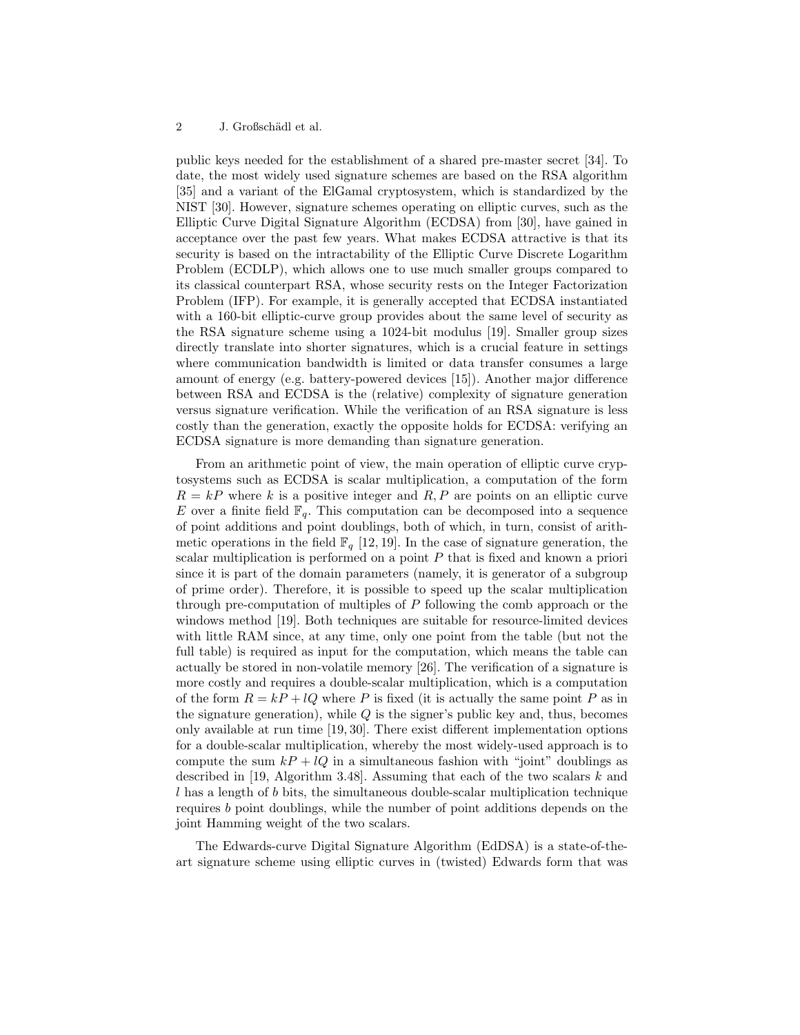public keys needed for the establishment of a shared pre-master secret [34]. To date, the most widely used signature schemes are based on the RSA algorithm [35] and a variant of the ElGamal cryptosystem, which is standardized by the NIST [30]. However, signature schemes operating on elliptic curves, such as the Elliptic Curve Digital Signature Algorithm (ECDSA) from [30], have gained in acceptance over the past few years. What makes ECDSA attractive is that its security is based on the intractability of the Elliptic Curve Discrete Logarithm Problem (ECDLP), which allows one to use much smaller groups compared to its classical counterpart RSA, whose security rests on the Integer Factorization Problem (IFP). For example, it is generally accepted that ECDSA instantiated with a 160-bit elliptic-curve group provides about the same level of security as the RSA signature scheme using a 1024-bit modulus [19]. Smaller group sizes directly translate into shorter signatures, which is a crucial feature in settings where communication bandwidth is limited or data transfer consumes a large amount of energy (e.g. battery-powered devices [15]). Another major difference between RSA and ECDSA is the (relative) complexity of signature generation versus signature verification. While the verification of an RSA signature is less costly than the generation, exactly the opposite holds for ECDSA: verifying an ECDSA signature is more demanding than signature generation.

From an arithmetic point of view, the main operation of elliptic curve cryptosystems such as ECDSA is scalar multiplication, a computation of the form  $R = kP$  where k is a positive integer and R, P are points on an elliptic curve E over a finite field  $\mathbb{F}_q$ . This computation can be decomposed into a sequence of point additions and point doublings, both of which, in turn, consist of arithmetic operations in the field  $\mathbb{F}_q$  [12, 19]. In the case of signature generation, the scalar multiplication is performed on a point  $P$  that is fixed and known a priori since it is part of the domain parameters (namely, it is generator of a subgroup of prime order). Therefore, it is possible to speed up the scalar multiplication through pre-computation of multiples of  $P$  following the comb approach or the windows method [19]. Both techniques are suitable for resource-limited devices with little RAM since, at any time, only one point from the table (but not the full table) is required as input for the computation, which means the table can actually be stored in non-volatile memory [26]. The verification of a signature is more costly and requires a double-scalar multiplication, which is a computation of the form  $R = kP + lQ$  where P is fixed (it is actually the same point P as in the signature generation), while  $Q$  is the signer's public key and, thus, becomes only available at run time [19, 30]. There exist different implementation options for a double-scalar multiplication, whereby the most widely-used approach is to compute the sum  $k + lQ$  in a simultaneous fashion with "joint" doublings as described in [19, Algorithm 3.48]. Assuming that each of the two scalars  $k$  and l has a length of b bits, the simultaneous double-scalar multiplication technique requires b point doublings, while the number of point additions depends on the joint Hamming weight of the two scalars.

The Edwards-curve Digital Signature Algorithm (EdDSA) is a state-of-theart signature scheme using elliptic curves in (twisted) Edwards form that was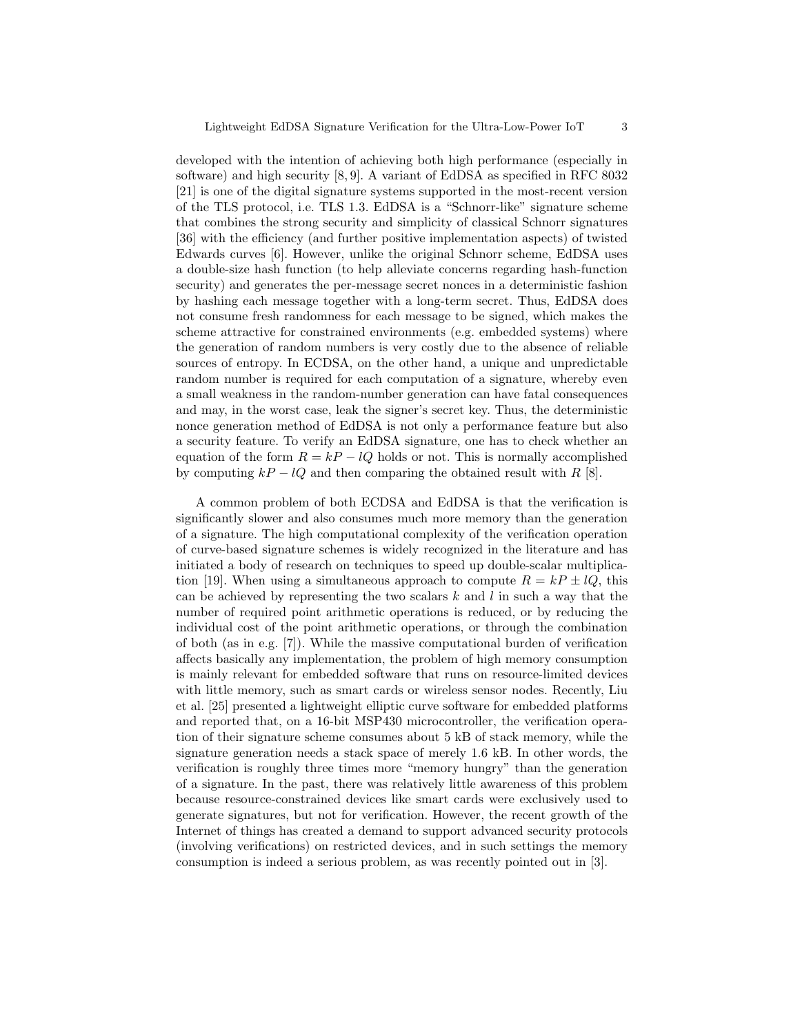developed with the intention of achieving both high performance (especially in software) and high security [8, 9]. A variant of EdDSA as specified in RFC 8032 [21] is one of the digital signature systems supported in the most-recent version of the TLS protocol, i.e. TLS 1.3. EdDSA is a "Schnorr-like" signature scheme that combines the strong security and simplicity of classical Schnorr signatures [36] with the efficiency (and further positive implementation aspects) of twisted Edwards curves [6]. However, unlike the original Schnorr scheme, EdDSA uses a double-size hash function (to help alleviate concerns regarding hash-function security) and generates the per-message secret nonces in a deterministic fashion by hashing each message together with a long-term secret. Thus, EdDSA does not consume fresh randomness for each message to be signed, which makes the scheme attractive for constrained environments (e.g. embedded systems) where the generation of random numbers is very costly due to the absence of reliable sources of entropy. In ECDSA, on the other hand, a unique and unpredictable random number is required for each computation of a signature, whereby even a small weakness in the random-number generation can have fatal consequences and may, in the worst case, leak the signer's secret key. Thus, the deterministic nonce generation method of EdDSA is not only a performance feature but also a security feature. To verify an EdDSA signature, one has to check whether an equation of the form  $R = kP - lQ$  holds or not. This is normally accomplished by computing  $kP - lQ$  and then comparing the obtained result with R [8].

A common problem of both ECDSA and EdDSA is that the verification is significantly slower and also consumes much more memory than the generation of a signature. The high computational complexity of the verification operation of curve-based signature schemes is widely recognized in the literature and has initiated a body of research on techniques to speed up double-scalar multiplication [19]. When using a simultaneous approach to compute  $R = kP \pm lQ$ , this can be achieved by representing the two scalars  $k$  and  $l$  in such a way that the number of required point arithmetic operations is reduced, or by reducing the individual cost of the point arithmetic operations, or through the combination of both (as in e.g. [7]). While the massive computational burden of verification affects basically any implementation, the problem of high memory consumption is mainly relevant for embedded software that runs on resource-limited devices with little memory, such as smart cards or wireless sensor nodes. Recently, Liu et al. [25] presented a lightweight elliptic curve software for embedded platforms and reported that, on a 16-bit MSP430 microcontroller, the verification operation of their signature scheme consumes about 5 kB of stack memory, while the signature generation needs a stack space of merely 1.6 kB. In other words, the verification is roughly three times more "memory hungry" than the generation of a signature. In the past, there was relatively little awareness of this problem because resource-constrained devices like smart cards were exclusively used to generate signatures, but not for verification. However, the recent growth of the Internet of things has created a demand to support advanced security protocols (involving verifications) on restricted devices, and in such settings the memory consumption is indeed a serious problem, as was recently pointed out in [3].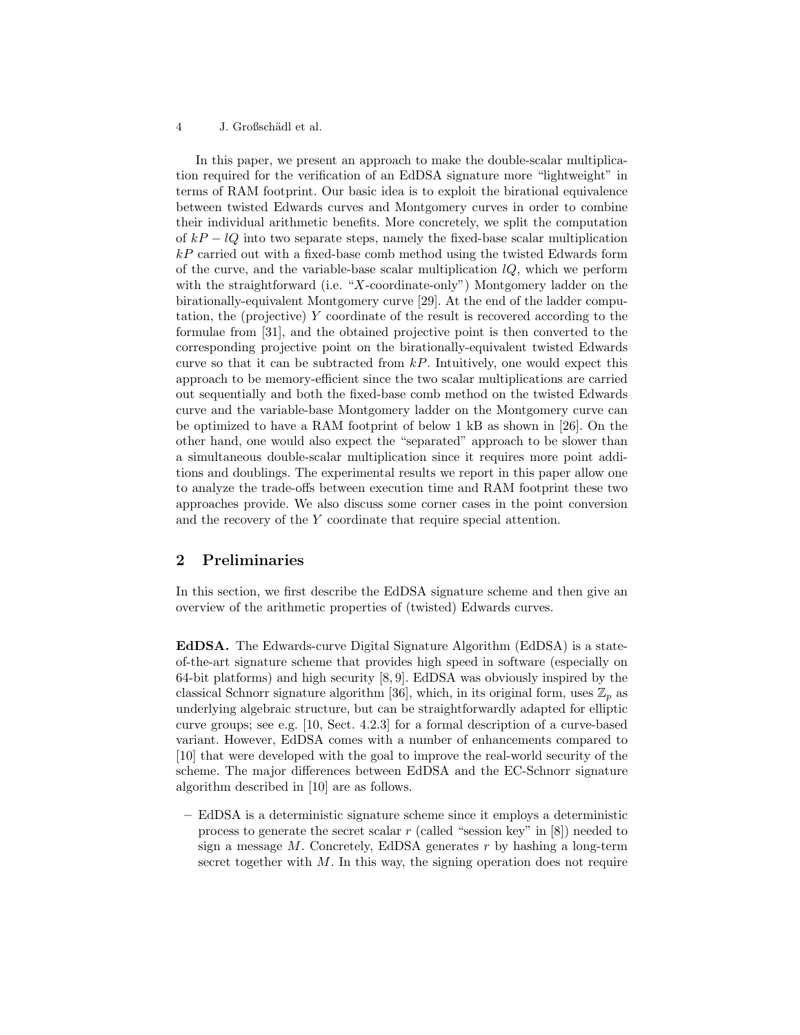In this paper, we present an approach to make the double-scalar multiplication required for the verification of an EdDSA signature more "lightweight" in terms of RAM footprint. Our basic idea is to exploit the birational equivalence between twisted Edwards curves and Montgomery curves in order to combine their individual arithmetic benefits. More concretely, we split the computation of  $kP - lQ$  into two separate steps, namely the fixed-base scalar multiplication  $kP$  carried out with a fixed-base comb method using the twisted Edwards form of the curve, and the variable-base scalar multiplication  $lQ$ , which we perform with the straightforward (i.e. "X-coordinate-only") Montgomery ladder on the birationally-equivalent Montgomery curve [29]. At the end of the ladder computation, the (projective) Y coordinate of the result is recovered according to the formulae from [31], and the obtained projective point is then converted to the corresponding projective point on the birationally-equivalent twisted Edwards curve so that it can be subtracted from  $kP$ . Intuitively, one would expect this approach to be memory-efficient since the two scalar multiplications are carried out sequentially and both the fixed-base comb method on the twisted Edwards curve and the variable-base Montgomery ladder on the Montgomery curve can be optimized to have a RAM footprint of below 1 kB as shown in [26]. On the other hand, one would also expect the "separated" approach to be slower than a simultaneous double-scalar multiplication since it requires more point additions and doublings. The experimental results we report in this paper allow one to analyze the trade-offs between execution time and RAM footprint these two approaches provide. We also discuss some corner cases in the point conversion and the recovery of the Y coordinate that require special attention.

# 2 Preliminaries

In this section, we first describe the EdDSA signature scheme and then give an overview of the arithmetic properties of (twisted) Edwards curves.

EdDSA. The Edwards-curve Digital Signature Algorithm (EdDSA) is a stateof-the-art signature scheme that provides high speed in software (especially on 64-bit platforms) and high security [8, 9]. EdDSA was obviously inspired by the classical Schnorr signature algorithm [36], which, in its original form, uses  $\mathbb{Z}_p$  as underlying algebraic structure, but can be straightforwardly adapted for elliptic curve groups; see e.g. [10, Sect. 4.2.3] for a formal description of a curve-based variant. However, EdDSA comes with a number of enhancements compared to [10] that were developed with the goal to improve the real-world security of the scheme. The major differences between EdDSA and the EC-Schnorr signature algorithm described in [10] are as follows.

– EdDSA is a deterministic signature scheme since it employs a deterministic process to generate the secret scalar r (called "session key" in  $[8]$ ) needed to sign a message  $M$ . Concretely, EdDSA generates  $r$  by hashing a long-term secret together with  $M$ . In this way, the signing operation does not require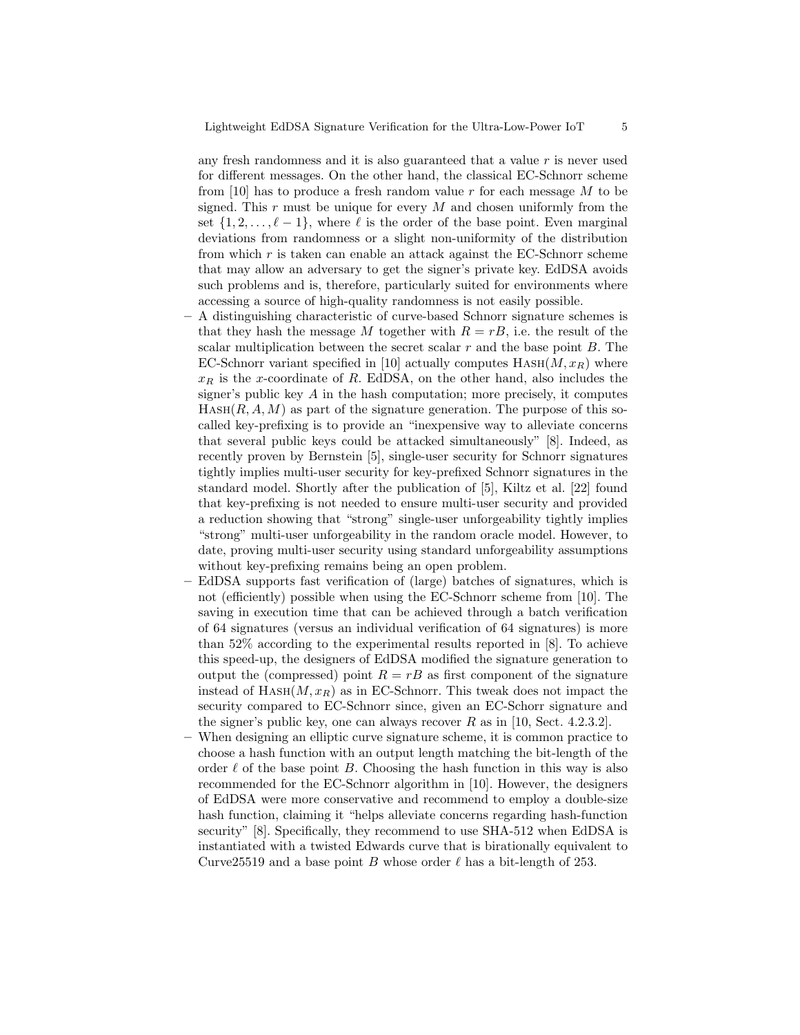any fresh randomness and it is also guaranteed that a value  $r$  is never used for different messages. On the other hand, the classical EC-Schnorr scheme from [10] has to produce a fresh random value r for each message  $M$  to be signed. This  $r$  must be unique for every  $M$  and chosen uniformly from the set  $\{1, 2, \ldots, \ell - 1\}$ , where  $\ell$  is the order of the base point. Even marginal deviations from randomness or a slight non-uniformity of the distribution from which  $r$  is taken can enable an attack against the EC-Schnorr scheme that may allow an adversary to get the signer's private key. EdDSA avoids such problems and is, therefore, particularly suited for environments where accessing a source of high-quality randomness is not easily possible.

- A distinguishing characteristic of curve-based Schnorr signature schemes is that they hash the message M together with  $R = rB$ , i.e. the result of the scalar multiplication between the secret scalar  $r$  and the base point  $B$ . The EC-Schnorr variant specified in [10] actually computes  $HASH(M, x_R)$  where  $x_R$  is the x-coordinate of R. EdDSA, on the other hand, also includes the signer's public key  $A$  in the hash computation; more precisely, it computes  $HASH(R, A, M)$  as part of the signature generation. The purpose of this socalled key-prefixing is to provide an "inexpensive way to alleviate concerns that several public keys could be attacked simultaneously" [8]. Indeed, as recently proven by Bernstein [5], single-user security for Schnorr signatures tightly implies multi-user security for key-prefixed Schnorr signatures in the standard model. Shortly after the publication of [5], Kiltz et al. [22] found that key-prefixing is not needed to ensure multi-user security and provided a reduction showing that "strong" single-user unforgeability tightly implies "strong" multi-user unforgeability in the random oracle model. However, to date, proving multi-user security using standard unforgeability assumptions without key-prefixing remains being an open problem.
- EdDSA supports fast verification of (large) batches of signatures, which is not (efficiently) possible when using the EC-Schnorr scheme from [10]. The saving in execution time that can be achieved through a batch verification of 64 signatures (versus an individual verification of 64 signatures) is more than 52% according to the experimental results reported in [8]. To achieve this speed-up, the designers of EdDSA modified the signature generation to output the (compressed) point  $R = rB$  as first component of the signature instead of  $HASH(M, x_R)$  as in EC-Schnorr. This tweak does not impact the security compared to EC-Schnorr since, given an EC-Schorr signature and the signer's public key, one can always recover R as in [10, Sect. 4.2.3.2].
- When designing an elliptic curve signature scheme, it is common practice to choose a hash function with an output length matching the bit-length of the order  $\ell$  of the base point B. Choosing the hash function in this way is also recommended for the EC-Schnorr algorithm in [10]. However, the designers of EdDSA were more conservative and recommend to employ a double-size hash function, claiming it "helps alleviate concerns regarding hash-function security" [8]. Specifically, they recommend to use SHA-512 when EdDSA is instantiated with a twisted Edwards curve that is birationally equivalent to Curve25519 and a base point B whose order  $\ell$  has a bit-length of 253.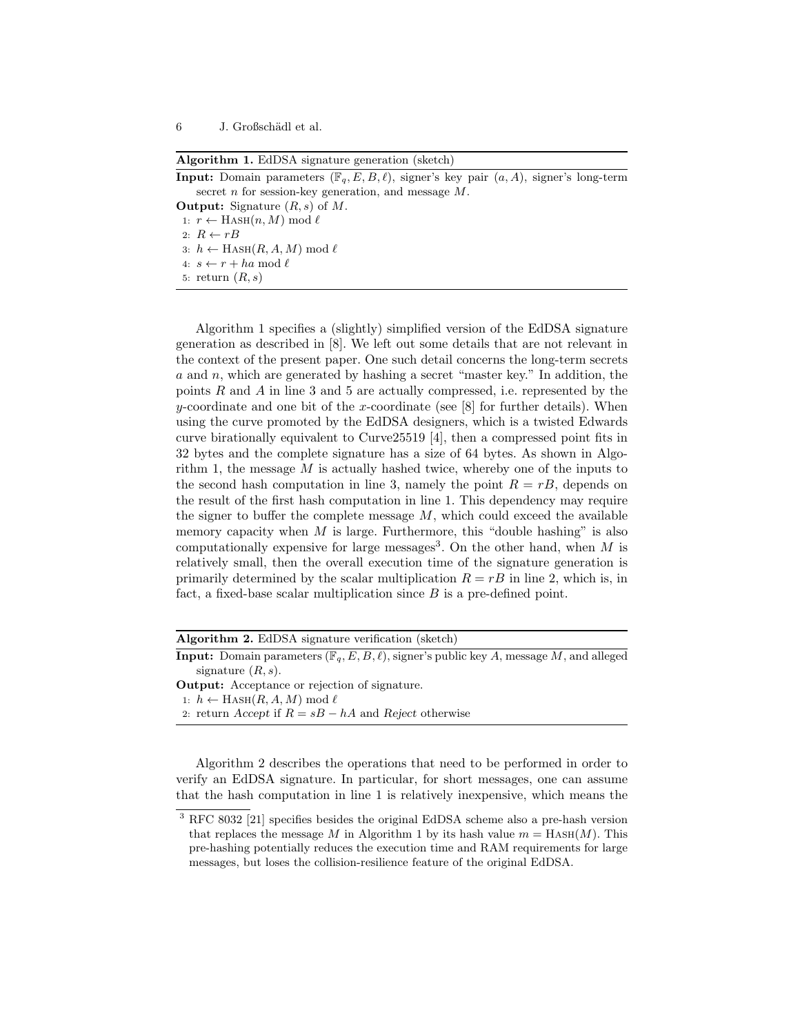Algorithm 1. EdDSA signature generation (sketch)

**Input:** Domain parameters  $(\mathbb{F}_q, E, B, \ell)$ , signer's key pair  $(a, A)$ , signer's long-term secret  $n$  for session-key generation, and message  $M$ .

**Output:** Signature  $(R, s)$  of M. 1:  $r \leftarrow$  HASH $(n, M) \mod \ell$ 2:  $R \leftarrow rB$ 3:  $h$  ← HASH(R, A, M) mod  $\ell$ 4:  $s \leftarrow r + ha \bmod \ell$ 5: return  $(R, s)$ 

Algorithm 1 specifies a (slightly) simplified version of the EdDSA signature generation as described in [8]. We left out some details that are not relevant in the context of the present paper. One such detail concerns the long-term secrets a and n, which are generated by hashing a secret "master key." In addition, the points  $R$  and  $A$  in line 3 and 5 are actually compressed, i.e. represented by the y-coordinate and one bit of the x-coordinate (see  $[8]$  for further details). When using the curve promoted by the EdDSA designers, which is a twisted Edwards curve birationally equivalent to Curve25519 [4], then a compressed point fits in 32 bytes and the complete signature has a size of 64 bytes. As shown in Algorithm 1, the message  $M$  is actually hashed twice, whereby one of the inputs to the second hash computation in line 3, namely the point  $R = rB$ , depends on the result of the first hash computation in line 1. This dependency may require the signer to buffer the complete message  $M$ , which could exceed the available memory capacity when  $M$  is large. Furthermore, this "double hashing" is also computationally expensive for large messages<sup>3</sup>. On the other hand, when  $M$  is relatively small, then the overall execution time of the signature generation is primarily determined by the scalar multiplication  $R = rB$  in line 2, which is, in fact, a fixed-base scalar multiplication since  $B$  is a pre-defined point.

| <b>Algorithm 2.</b> EdDSA signature verification (sketch)                                                    |
|--------------------------------------------------------------------------------------------------------------|
| <b>Input:</b> Domain parameters $(\mathbb{F}_q, E, B, \ell)$ , signer's public key A, message M, and alleged |
| signature $(R, s)$ .                                                                                         |
| <b>Output:</b> Acceptance or rejection of signature.                                                         |
| 1: $h \leftarrow \text{HASH}(R, A, M) \text{ mod } \ell$                                                     |
| 2. return Accept if $R = sB - hA$ and Reject otherwise                                                       |

Algorithm 2 describes the operations that need to be performed in order to verify an EdDSA signature. In particular, for short messages, one can assume that the hash computation in line 1 is relatively inexpensive, which means the

<sup>3</sup> RFC 8032 [21] specifies besides the original EdDSA scheme also a pre-hash version that replaces the message M in Algorithm 1 by its hash value  $m =$  HASH $(M)$ . This pre-hashing potentially reduces the execution time and RAM requirements for large messages, but loses the collision-resilience feature of the original EdDSA.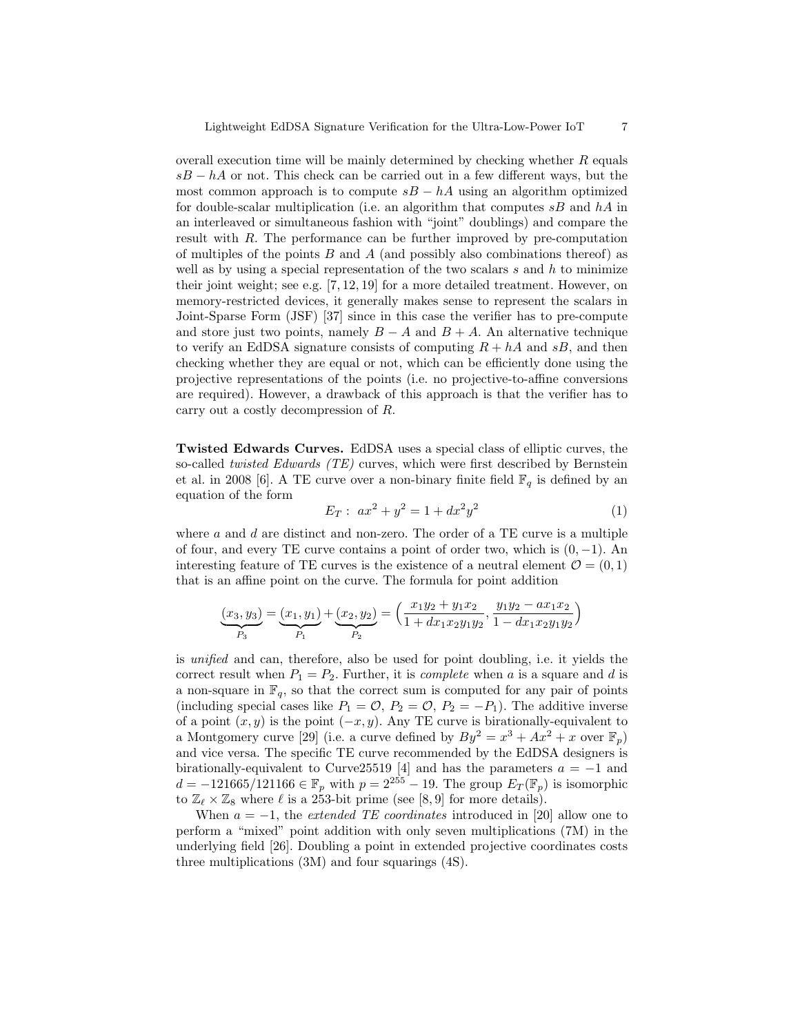overall execution time will be mainly determined by checking whether  $R$  equals  $sB - hA$  or not. This check can be carried out in a few different ways, but the most common approach is to compute  $sB - hA$  using an algorithm optimized for double-scalar multiplication (i.e. an algorithm that computes  $sB$  and  $hA$  in an interleaved or simultaneous fashion with "joint" doublings) and compare the result with R. The performance can be further improved by pre-computation of multiples of the points  $B$  and  $A$  (and possibly also combinations thereof) as well as by using a special representation of the two scalars s and h to minimize their joint weight; see e.g.  $[7, 12, 19]$  for a more detailed treatment. However, on memory-restricted devices, it generally makes sense to represent the scalars in Joint-Sparse Form (JSF) [37] since in this case the verifier has to pre-compute and store just two points, namely  $B - A$  and  $B + A$ . An alternative technique to verify an EdDSA signature consists of computing  $R + hA$  and  $sB$ , and then checking whether they are equal or not, which can be efficiently done using the projective representations of the points (i.e. no projective-to-affine conversions are required). However, a drawback of this approach is that the verifier has to carry out a costly decompression of R.

Twisted Edwards Curves. EdDSA uses a special class of elliptic curves, the so-called twisted Edwards (TE) curves, which were first described by Bernstein et al. in 2008 [6]. A TE curve over a non-binary finite field  $\mathbb{F}_q$  is defined by an equation of the form

$$
E_T: ax^2 + y^2 = 1 + dx^2y^2 \tag{1}
$$

where  $a$  and  $d$  are distinct and non-zero. The order of a TE curve is a multiple of four, and every TE curve contains a point of order two, which is  $(0, -1)$ . An interesting feature of TE curves is the existence of a neutral element  $\mathcal{O} = (0, 1)$ that is an affine point on the curve. The formula for point addition

$$
\underbrace{(x_3,y_3)}_{P_3}=\underbrace{(x_1,y_1)}_{P_1}+\underbrace{(x_2,y_2)}_{P_2}=\left(\frac{x_1y_2+y_1x_2}{1+dx_1x_2y_1y_2},\frac{y_1y_2-ax_1x_2}{1-dx_1x_2y_1y_2}\right)
$$

is unified and can, therefore, also be used for point doubling, i.e. it yields the correct result when  $P_1 = P_2$ . Further, it is *complete* when a is a square and d is a non-square in  $\mathbb{F}_q$ , so that the correct sum is computed for any pair of points (including special cases like  $P_1 = \mathcal{O}, P_2 = \mathcal{O}, P_2 = -P_1$ ). The additive inverse of a point  $(x, y)$  is the point  $(-x, y)$ . Any TE curve is birationally-equivalent to a Montgomery curve [29] (i.e. a curve defined by  $By^2 = x^3 + Ax^2 + x$  over  $\mathbb{F}_p$ ) and vice versa. The specific TE curve recommended by the EdDSA designers is birationally-equivalent to Curve25519 [4] and has the parameters  $a = -1$  and d = −121665/121166 ∈  $\mathbb{F}_p$  with  $p = 2^{255} - 19$ . The group  $E_T(\mathbb{F}_p)$  is isomorphic to  $\mathbb{Z}_\ell \times \mathbb{Z}_8$  where  $\ell$  is a 253-bit prime (see [8, 9] for more details).

When  $a = -1$ , the *extended TE coordinates* introduced in [20] allow one to perform a "mixed" point addition with only seven multiplications (7M) in the underlying field [26]. Doubling a point in extended projective coordinates costs three multiplications (3M) and four squarings (4S).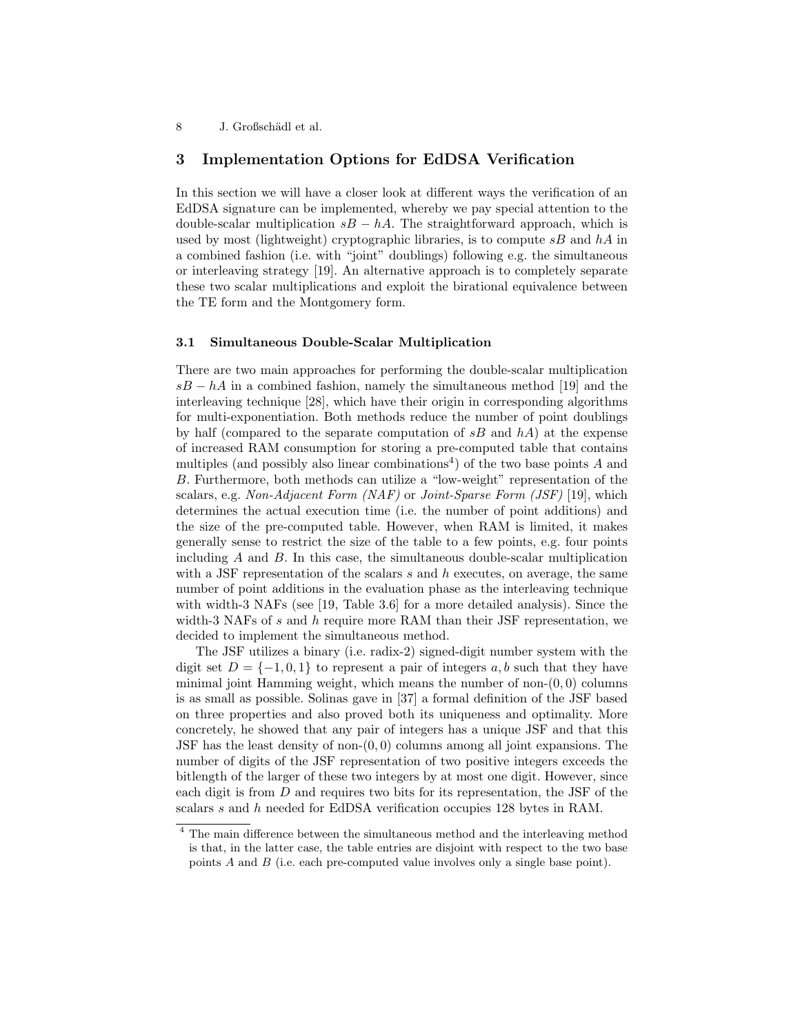# 3 Implementation Options for EdDSA Verification

In this section we will have a closer look at different ways the verification of an EdDSA signature can be implemented, whereby we pay special attention to the double-scalar multiplication  $s = hA$ . The straightforward approach, which is used by most (lightweight) cryptographic libraries, is to compute  $sB$  and  $hA$  in a combined fashion (i.e. with "joint" doublings) following e.g. the simultaneous or interleaving strategy [19]. An alternative approach is to completely separate these two scalar multiplications and exploit the birational equivalence between the TE form and the Montgomery form.

## 3.1 Simultaneous Double-Scalar Multiplication

There are two main approaches for performing the double-scalar multiplication  $sB - hA$  in a combined fashion, namely the simultaneous method [19] and the interleaving technique [28], which have their origin in corresponding algorithms for multi-exponentiation. Both methods reduce the number of point doublings by half (compared to the separate computation of  $sB$  and  $hA$ ) at the expense of increased RAM consumption for storing a pre-computed table that contains multiples (and possibly also linear combinations<sup>4</sup>) of the two base points  $A$  and B. Furthermore, both methods can utilize a "low-weight" representation of the scalars, e.g. Non-Adjacent Form (NAF) or Joint-Sparse Form (JSF) [19], which determines the actual execution time (i.e. the number of point additions) and the size of the pre-computed table. However, when RAM is limited, it makes generally sense to restrict the size of the table to a few points, e.g. four points including  $A$  and  $B$ . In this case, the simultaneous double-scalar multiplication with a JSF representation of the scalars  $s$  and  $h$  executes, on average, the same number of point additions in the evaluation phase as the interleaving technique with width-3 NAFs (see [19, Table 3.6] for a more detailed analysis). Since the width-3 NAFs of s and h require more RAM than their JSF representation, we decided to implement the simultaneous method.

The JSF utilizes a binary (i.e. radix-2) signed-digit number system with the digit set  $D = \{-1, 0, 1\}$  to represent a pair of integers a, b such that they have minimal joint Hamming weight, which means the number of non- $(0, 0)$  columns is as small as possible. Solinas gave in [37] a formal definition of the JSF based on three properties and also proved both its uniqueness and optimality. More concretely, he showed that any pair of integers has a unique JSF and that this JSF has the least density of non- $(0, 0)$  columns among all joint expansions. The number of digits of the JSF representation of two positive integers exceeds the bitlength of the larger of these two integers by at most one digit. However, since each digit is from D and requires two bits for its representation, the JSF of the scalars s and h needed for EdDSA verification occupies 128 bytes in RAM.

<sup>&</sup>lt;sup>4</sup> The main difference between the simultaneous method and the interleaving method is that, in the latter case, the table entries are disjoint with respect to the two base points A and B (i.e. each pre-computed value involves only a single base point).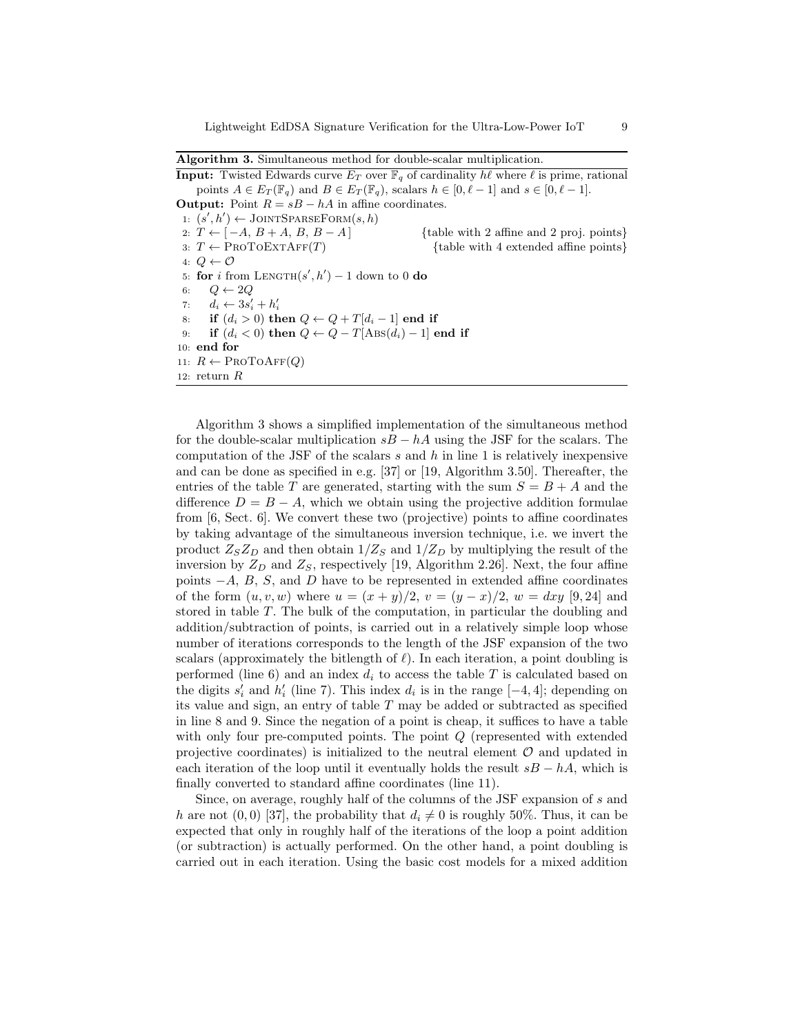Algorithm 3. Simultaneous method for double-scalar multiplication.

**Input:** Twisted Edwards curve  $E_T$  over  $\mathbb{F}_q$  of cardinality  $h\ell$  where  $\ell$  is prime, rational points  $A \in E_T(\mathbb{F}_q)$  and  $B \in E_T(\mathbb{F}_q)$ , scalars  $h \in [0, \ell - 1]$  and  $s \in [0, \ell - 1]$ . **Output:** Point  $R = sB - hA$  in affine coordinates. 1:  $(s', h') \leftarrow \text{JONTSPARSEFORM}(s, h)$ 2:  $T \leftarrow [-A, B + A, B, B - A]$  {table with 2 affine and 2 proj. points} 3:  $T \leftarrow \text{PROTOEXTAFF}(T)$  {table with 4 extended affine points} 4:  $Q \leftarrow \mathcal{O}$ 5: for i from LENGTH $(s', h') - 1$  down to 0 do 6:  $Q \leftarrow 2Q$ 7:  $d_i \leftarrow 3s'_i + h'_i$ 8: if  $(d_i > 0)$  then  $Q \leftarrow Q + T[d_i - 1]$  end if 9: if  $(d_i < 0)$  then  $Q \leftarrow Q - T[\text{ABS}(d_i) - 1]$  end if 10: end for 11:  $R \leftarrow \text{PROTOAFF}(Q)$ 12: return R

Algorithm 3 shows a simplified implementation of the simultaneous method for the double-scalar multiplication  $sB - hA$  using the JSF for the scalars. The computation of the JSF of the scalars  $s$  and  $h$  in line 1 is relatively inexpensive and can be done as specified in e.g. [37] or [19, Algorithm 3.50]. Thereafter, the entries of the table T are generated, starting with the sum  $S = B + A$  and the difference  $D = B - A$ , which we obtain using the projective addition formulae from [6, Sect. 6]. We convert these two (projective) points to affine coordinates by taking advantage of the simultaneous inversion technique, i.e. we invert the product  $Z_{S}Z_{D}$  and then obtain  $1/Z_{S}$  and  $1/Z_{D}$  by multiplying the result of the inversion by  $Z_D$  and  $Z_S$ , respectively [19, Algorithm 2.26]. Next, the four affine points  $-A$ ,  $B$ ,  $S$ , and  $D$  have to be represented in extended affine coordinates of the form  $(u, v, w)$  where  $u = (x + y)/2$ ,  $v = (y - x)/2$ ,  $w = dxy$  [9, 24] and stored in table T. The bulk of the computation, in particular the doubling and addition/subtraction of points, is carried out in a relatively simple loop whose number of iterations corresponds to the length of the JSF expansion of the two scalars (approximately the bitlength of  $\ell$ ). In each iteration, a point doubling is performed (line 6) and an index  $d_i$  to access the table T is calculated based on the digits  $s'_i$  and  $h'_i$  (line 7). This index  $d_i$  is in the range [-4, 4]; depending on its value and sign, an entry of table  $T$  may be added or subtracted as specified in line 8 and 9. Since the negation of a point is cheap, it suffices to have a table with only four pre-computed points. The point Q (represented with extended projective coordinates) is initialized to the neutral element  $\mathcal O$  and updated in each iteration of the loop until it eventually holds the result  $sB - hA$ , which is finally converted to standard affine coordinates (line 11).

Since, on average, roughly half of the columns of the JSF expansion of s and h are not  $(0, 0)$  [37], the probability that  $d_i \neq 0$  is roughly 50%. Thus, it can be expected that only in roughly half of the iterations of the loop a point addition (or subtraction) is actually performed. On the other hand, a point doubling is carried out in each iteration. Using the basic cost models for a mixed addition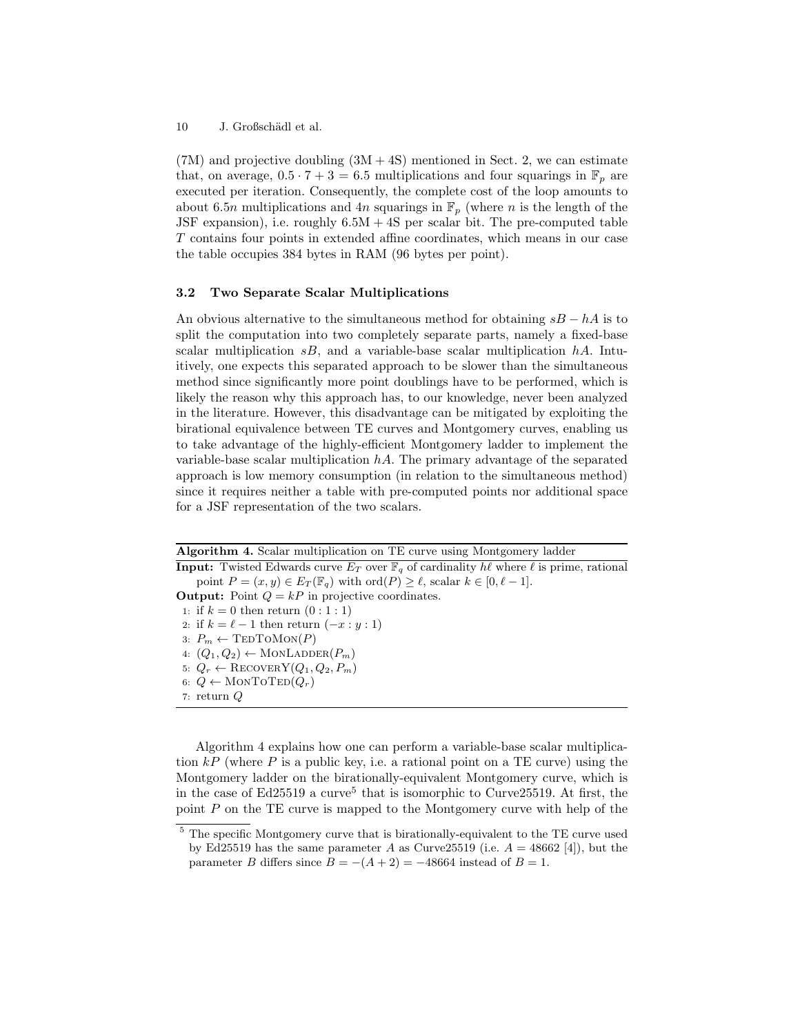$(7M)$  and projective doubling  $(3M + 4S)$  mentioned in Sect. 2, we can estimate that, on average,  $0.5 \cdot 7 + 3 = 6.5$  multiplications and four squarings in  $\mathbb{F}_p$  are executed per iteration. Consequently, the complete cost of the loop amounts to about 6.5n multiplications and 4n squarings in  $\mathbb{F}_p$  (where n is the length of the JSF expansion), i.e. roughly  $6.5M + 4S$  per scalar bit. The pre-computed table T contains four points in extended affine coordinates, which means in our case the table occupies 384 bytes in RAM (96 bytes per point).

# 3.2 Two Separate Scalar Multiplications

An obvious alternative to the simultaneous method for obtaining  $sB - hA$  is to split the computation into two completely separate parts, namely a fixed-base scalar multiplication  $sB$ , and a variable-base scalar multiplication  $hA$ . Intuitively, one expects this separated approach to be slower than the simultaneous method since significantly more point doublings have to be performed, which is likely the reason why this approach has, to our knowledge, never been analyzed in the literature. However, this disadvantage can be mitigated by exploiting the birational equivalence between TE curves and Montgomery curves, enabling us to take advantage of the highly-efficient Montgomery ladder to implement the variable-base scalar multiplication  $hA$ . The primary advantage of the separated approach is low memory consumption (in relation to the simultaneous method) since it requires neither a table with pre-computed points nor additional space for a JSF representation of the two scalars.

**Input:** Twisted Edwards curve  $E_T$  over  $\mathbb{F}_q$  of cardinality  $h\ell$  where  $\ell$  is prime, rational point  $P = (x, y) \in E_T(\mathbb{F}_q)$  with ord $(P) \geq \ell$ , scalar  $k \in [0, \ell - 1]$ . **Output:** Point  $Q = kP$  in projective coordinates. 1: if  $k = 0$  then return  $(0:1:1)$ 2: if  $k = \ell - 1$  then return  $(-x : y : 1)$ 3:  $P_m \leftarrow \text{TEDTOMON}(P)$ 4:  $(Q_1, Q_2) \leftarrow \text{MONLADDER}(P_m)$ 5:  $Q_r \leftarrow \text{RECOVERY}(Q_1, Q_2, P_m)$ 6:  $Q \leftarrow \text{MONTOTED}(Q_r)$ 7: return Q

Algorithm 4. Scalar multiplication on TE curve using Montgomery ladder

Algorithm 4 explains how one can perform a variable-base scalar multiplication  $kP$  (where P is a public key, i.e. a rational point on a TE curve) using the Montgomery ladder on the birationally-equivalent Montgomery curve, which is in the case of Ed25519 a curve<sup>5</sup> that is isomorphic to Curve25519. At first, the point  $P$  on the TE curve is mapped to the Montgomery curve with help of the

 $^5$  The specific Montgomery curve that is birationally-equivalent to the TE curve used by Ed25519 has the same parameter A as Curve25519 (i.e.  $A = 48662$  [4]), but the parameter B differs since  $B = -(A + 2) = -48664$  instead of  $B = 1$ .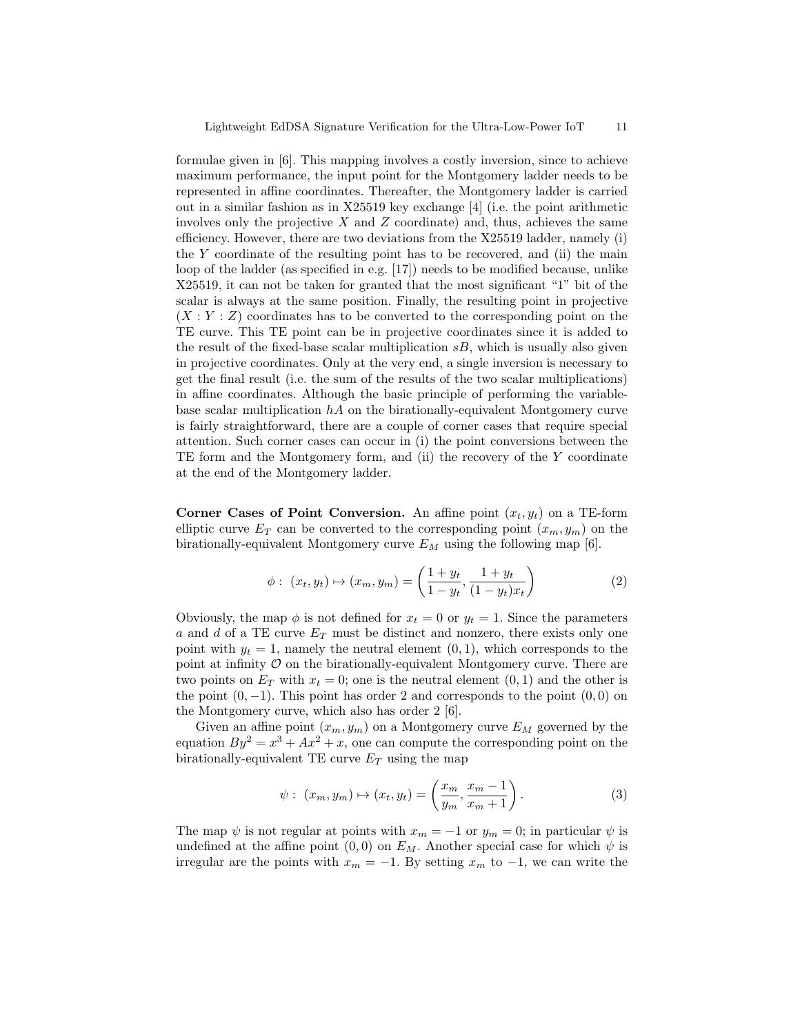formulae given in [6]. This mapping involves a costly inversion, since to achieve maximum performance, the input point for the Montgomery ladder needs to be represented in affine coordinates. Thereafter, the Montgomery ladder is carried out in a similar fashion as in X25519 key exchange [4] (i.e. the point arithmetic involves only the projective  $X$  and  $Z$  coordinate) and, thus, achieves the same efficiency. However, there are two deviations from the X25519 ladder, namely (i) the  $Y$  coordinate of the resulting point has to be recovered, and (ii) the main loop of the ladder (as specified in e.g. [17]) needs to be modified because, unlike X25519, it can not be taken for granted that the most significant "1" bit of the scalar is always at the same position. Finally, the resulting point in projective  $(X:Y:Z)$  coordinates has to be converted to the corresponding point on the TE curve. This TE point can be in projective coordinates since it is added to the result of the fixed-base scalar multiplication  $sB$ , which is usually also given in projective coordinates. Only at the very end, a single inversion is necessary to get the final result (i.e. the sum of the results of the two scalar multiplications) in affine coordinates. Although the basic principle of performing the variablebase scalar multiplication  $h\mathcal{A}$  on the birationally-equivalent Montgomery curve is fairly straightforward, there are a couple of corner cases that require special attention. Such corner cases can occur in (i) the point conversions between the TE form and the Montgomery form, and (ii) the recovery of the Y coordinate at the end of the Montgomery ladder.

Corner Cases of Point Conversion. An affine point  $(x_t, y_t)$  on a TE-form elliptic curve  $E_T$  can be converted to the corresponding point  $(x_m, y_m)$  on the birationally-equivalent Montgomery curve  $E_M$  using the following map [6].

$$
\phi: (x_t, y_t) \mapsto (x_m, y_m) = \left(\frac{1+y_t}{1-y_t}, \frac{1+y_t}{(1-y_t)x_t}\right)
$$
 (2)

Obviously, the map  $\phi$  is not defined for  $x_t = 0$  or  $y_t = 1$ . Since the parameters a and d of a TE curve  $E_T$  must be distinct and nonzero, there exists only one point with  $y_t = 1$ , namely the neutral element  $(0, 1)$ , which corresponds to the point at infinity  $\mathcal O$  on the birationally-equivalent Montgomery curve. There are two points on  $E_T$  with  $x_t = 0$ ; one is the neutral element  $(0, 1)$  and the other is the point  $(0, -1)$ . This point has order 2 and corresponds to the point  $(0, 0)$  on the Montgomery curve, which also has order 2 [6].

Given an affine point  $(x_m, y_m)$  on a Montgomery curve  $E_M$  governed by the equation  $By^2 = x^3 + Ax^2 + x$ , one can compute the corresponding point on the birationally-equivalent TE curve  $E_T$  using the map

$$
\psi
$$
:  $(x_m, y_m) \mapsto (x_t, y_t) = \left(\frac{x_m}{y_m}, \frac{x_m - 1}{x_m + 1}\right).$  (3)

The map  $\psi$  is not regular at points with  $x_m = -1$  or  $y_m = 0$ ; in particular  $\psi$  is undefined at the affine point  $(0,0)$  on  $E_M$ . Another special case for which  $\psi$  is irregular are the points with  $x_m = -1$ . By setting  $x_m$  to  $-1$ , we can write the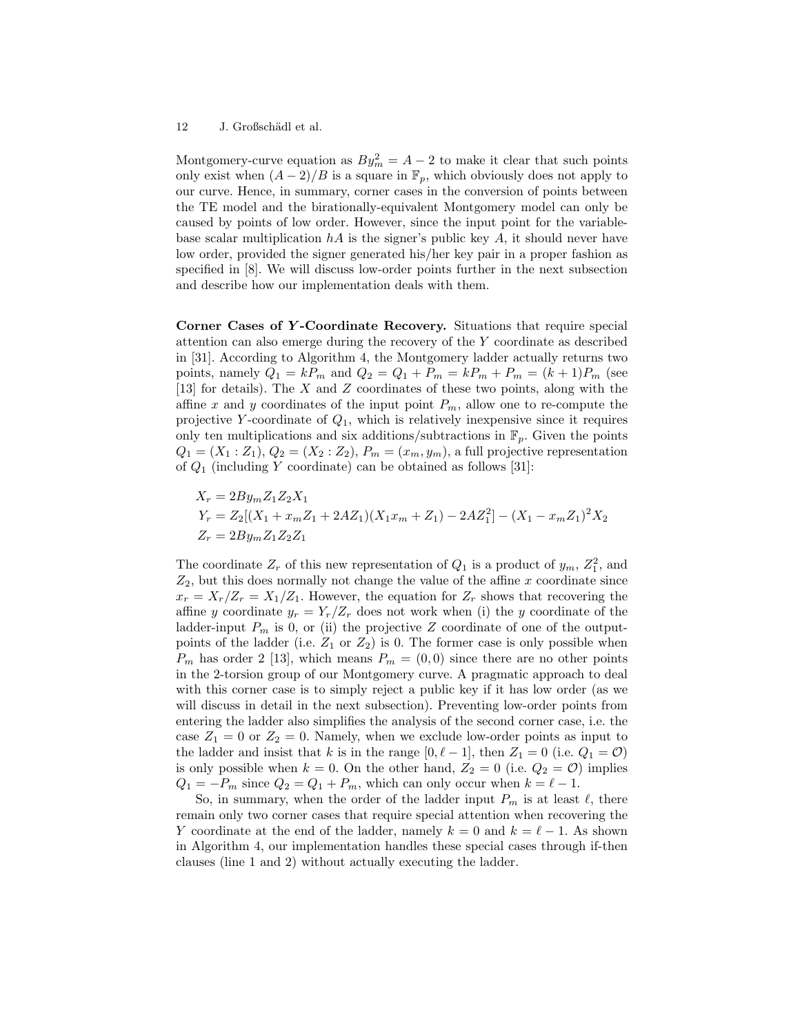Montgomery-curve equation as  $By_m^2 = A - 2$  to make it clear that such points only exist when  $(A-2)/B$  is a square in  $\mathbb{F}_p$ , which obviously does not apply to our curve. Hence, in summary, corner cases in the conversion of points between the TE model and the birationally-equivalent Montgomery model can only be caused by points of low order. However, since the input point for the variablebase scalar multiplication  $hA$  is the signer's public key  $A$ , it should never have low order, provided the signer generated his/her key pair in a proper fashion as specified in [8]. We will discuss low-order points further in the next subsection and describe how our implementation deals with them.

Corner Cases of Y -Coordinate Recovery. Situations that require special attention can also emerge during the recovery of the Y coordinate as described in [31]. According to Algorithm 4, the Montgomery ladder actually returns two points, namely  $Q_1 = kP_m$  and  $Q_2 = Q_1 + P_m = kP_m + P_m = (k+1)P_m$  (see [13] for details). The X and Z coordinates of these two points, along with the affine x and y coordinates of the input point  $P_m$ , allow one to re-compute the projective Y-coordinate of  $Q_1$ , which is relatively inexpensive since it requires only ten multiplications and six additions/subtractions in  $\mathbb{F}_p$ . Given the points  $Q_1 = (X_1 : Z_1), Q_2 = (X_2 : Z_2), P_m = (x_m, y_m),$  a full projective representation of  $Q_1$  (including Y coordinate) can be obtained as follows [31]:

$$
X_r = 2By_m Z_1 Z_2 X_1
$$
  
\n
$$
Y_r = Z_2[(X_1 + x_m Z_1 + 2AZ_1)(X_1 x_m + Z_1) - 2AZ_1^2] - (X_1 - x_m Z_1)^2 X_2
$$
  
\n
$$
Z_r = 2By_m Z_1 Z_2 Z_1
$$

The coordinate  $Z_r$  of this new representation of  $Q_1$  is a product of  $y_m$ ,  $Z_1^2$ , and  $Z_2$ , but this does normally not change the value of the affine x coordinate since  $x_r = X_r/Z_r = X_1/Z_1$ . However, the equation for  $Z_r$  shows that recovering the affine y coordinate  $y_r = Y_r/Z_r$  does not work when (i) the y coordinate of the ladder-input  $P_m$  is 0, or (ii) the projective Z coordinate of one of the outputpoints of the ladder (i.e.  $Z_1$  or  $Z_2$ ) is 0. The former case is only possible when  $P_m$  has order 2 [13], which means  $P_m = (0,0)$  since there are no other points in the 2-torsion group of our Montgomery curve. A pragmatic approach to deal with this corner case is to simply reject a public key if it has low order (as we will discuss in detail in the next subsection). Preventing low-order points from entering the ladder also simplifies the analysis of the second corner case, i.e. the case  $Z_1 = 0$  or  $Z_2 = 0$ . Namely, when we exclude low-order points as input to the ladder and insist that k is in the range  $[0, \ell - 1]$ , then  $Z_1 = 0$  (i.e.  $Q_1 = \mathcal{O}$ ) is only possible when  $k = 0$ . On the other hand,  $Z_2 = 0$  (i.e.  $Q_2 = \mathcal{O}$ ) implies  $Q_1 = -P_m$  since  $Q_2 = Q_1 + P_m$ , which can only occur when  $k = \ell - 1$ .

So, in summary, when the order of the ladder input  $P_m$  is at least  $\ell$ , there remain only two corner cases that require special attention when recovering the Y coordinate at the end of the ladder, namely  $k = 0$  and  $k = \ell - 1$ . As shown in Algorithm 4, our implementation handles these special cases through if-then clauses (line 1 and 2) without actually executing the ladder.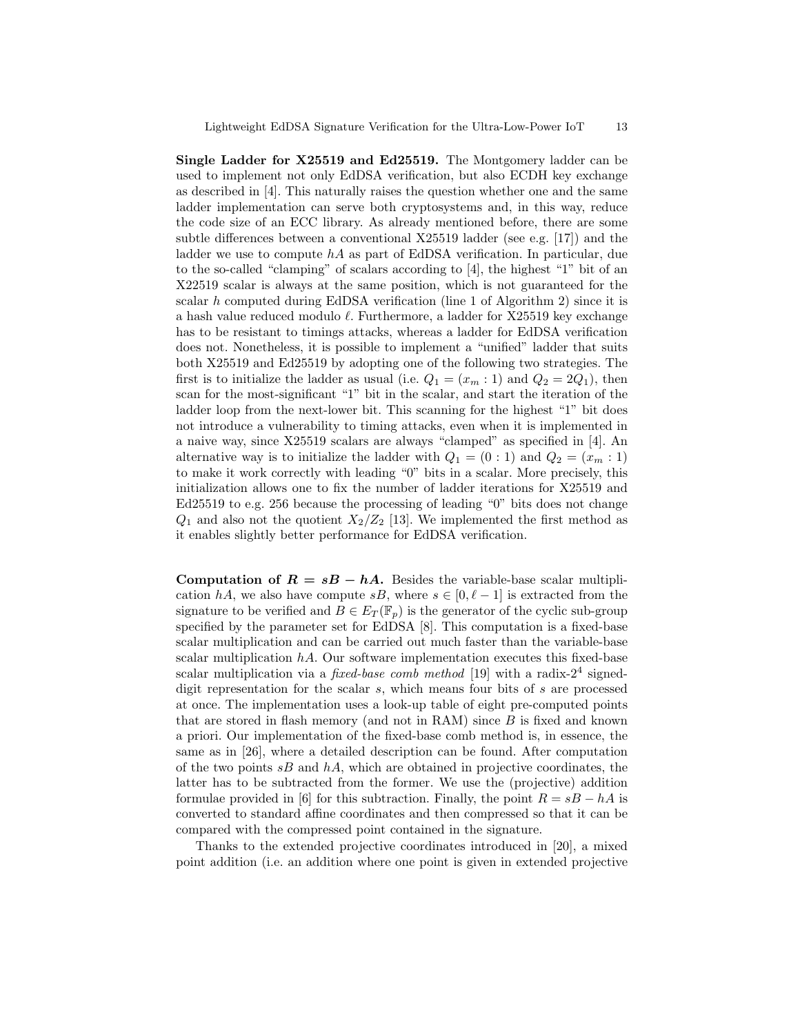Single Ladder for X25519 and Ed25519. The Montgomery ladder can be used to implement not only EdDSA verification, but also ECDH key exchange as described in [4]. This naturally raises the question whether one and the same ladder implementation can serve both cryptosystems and, in this way, reduce the code size of an ECC library. As already mentioned before, there are some subtle differences between a conventional X25519 ladder (see e.g. [17]) and the ladder we use to compute  $hA$  as part of EdDSA verification. In particular, due to the so-called "clamping" of scalars according to [4], the highest "1" bit of an X22519 scalar is always at the same position, which is not guaranteed for the scalar  $h$  computed during EdDSA verification (line 1 of Algorithm 2) since it is a hash value reduced modulo  $\ell$ . Furthermore, a ladder for X25519 key exchange has to be resistant to timings attacks, whereas a ladder for EdDSA verification does not. Nonetheless, it is possible to implement a "unified" ladder that suits both X25519 and Ed25519 by adopting one of the following two strategies. The first is to initialize the ladder as usual (i.e.  $Q_1 = (x_m : 1)$  and  $Q_2 = 2Q_1$ ), then scan for the most-significant "1" bit in the scalar, and start the iteration of the ladder loop from the next-lower bit. This scanning for the highest "1" bit does not introduce a vulnerability to timing attacks, even when it is implemented in a naive way, since X25519 scalars are always "clamped" as specified in [4]. An alternative way is to initialize the ladder with  $Q_1 = (0:1)$  and  $Q_2 = (x_m:1)$ to make it work correctly with leading "0" bits in a scalar. More precisely, this initialization allows one to fix the number of ladder iterations for X25519 and Ed25519 to e.g. 256 because the processing of leading "0" bits does not change  $Q_1$  and also not the quotient  $X_2/Z_2$  [13]. We implemented the first method as it enables slightly better performance for EdDSA verification.

Computation of  $R = sB - hA$ . Besides the variable-base scalar multiplication hA, we also have compute sB, where  $s \in [0, \ell - 1]$  is extracted from the signature to be verified and  $B \in E_T(\mathbb{F}_p)$  is the generator of the cyclic sub-group specified by the parameter set for EdDSA [8]. This computation is a fixed-base scalar multiplication and can be carried out much faster than the variable-base scalar multiplication  $hA$ . Our software implementation executes this fixed-base scalar multiplication via a *fixed-base comb method* [19] with a radix- $2^4$  signeddigit representation for the scalar  $s$ , which means four bits of  $s$  are processed at once. The implementation uses a look-up table of eight pre-computed points that are stored in flash memory (and not in RAM) since B is fixed and known a priori. Our implementation of the fixed-base comb method is, in essence, the same as in [26], where a detailed description can be found. After computation of the two points  $sB$  and  $hA$ , which are obtained in projective coordinates, the latter has to be subtracted from the former. We use the (projective) addition formulae provided in [6] for this subtraction. Finally, the point  $R = sB - hA$  is converted to standard affine coordinates and then compressed so that it can be compared with the compressed point contained in the signature.

Thanks to the extended projective coordinates introduced in [20], a mixed point addition (i.e. an addition where one point is given in extended projective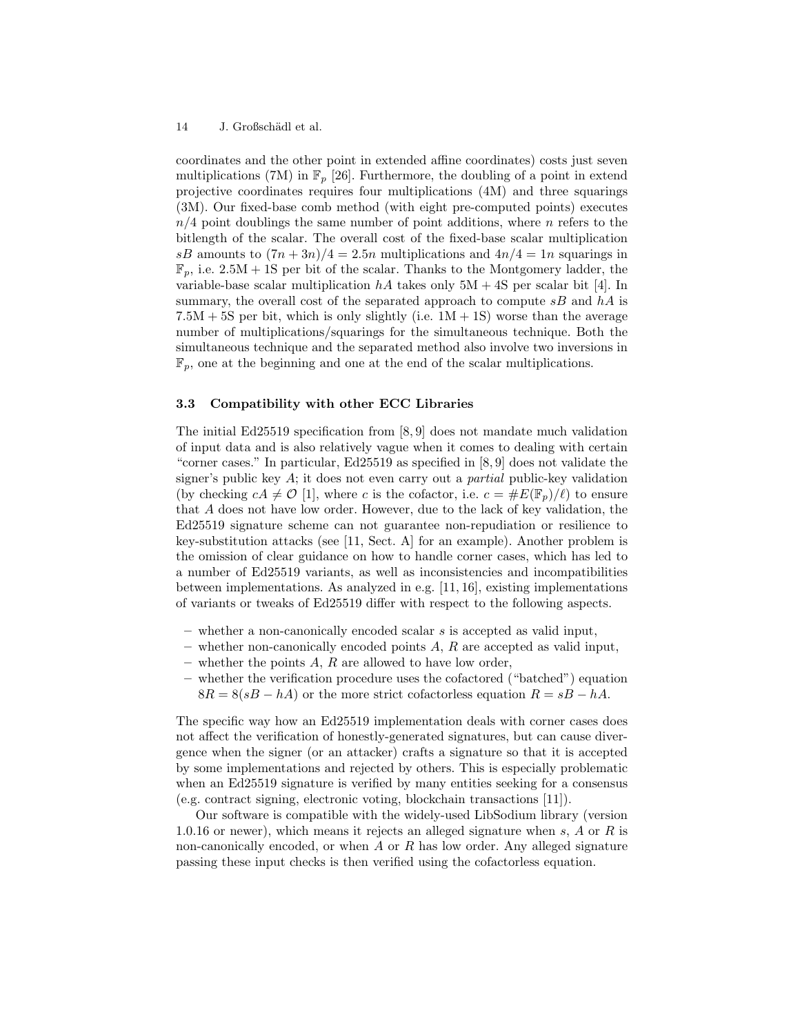coordinates and the other point in extended affine coordinates) costs just seven multiplications (7M) in  $\mathbb{F}_p$  [26]. Furthermore, the doubling of a point in extend projective coordinates requires four multiplications (4M) and three squarings (3M). Our fixed-base comb method (with eight pre-computed points) executes  $n/4$  point doublings the same number of point additions, where n refers to the bitlength of the scalar. The overall cost of the fixed-base scalar multiplication sB amounts to  $(7n+3n)/4 = 2.5n$  multiplications and  $4n/4 = 1n$  squarings in  $\mathbb{F}_n$ , i.e.  $2.5M + 1S$  per bit of the scalar. Thanks to the Montgomery ladder, the variable-base scalar multiplication  $hA$  takes only  $5M + 4S$  per scalar bit [4]. In summary, the overall cost of the separated approach to compute  $sB$  and  $hA$  is  $7.5M + 5S$  per bit, which is only slightly (i.e.  $1M + 1S$ ) worse than the average number of multiplications/squarings for the simultaneous technique. Both the simultaneous technique and the separated method also involve two inversions in  $\mathbb{F}_p$ , one at the beginning and one at the end of the scalar multiplications.

## 3.3 Compatibility with other ECC Libraries

The initial Ed25519 specification from [8, 9] does not mandate much validation of input data and is also relatively vague when it comes to dealing with certain "corner cases." In particular, Ed25519 as specified in [8, 9] does not validate the signer's public key  $A$ ; it does not even carry out a *partial* public-key validation (by checking  $cA \neq \mathcal{O}$  [1], where c is the cofactor, i.e.  $c = \#E(\mathbb{F}_p)/\ell$ ) to ensure that A does not have low order. However, due to the lack of key validation, the Ed25519 signature scheme can not guarantee non-repudiation or resilience to key-substitution attacks (see [11, Sect. A] for an example). Another problem is the omission of clear guidance on how to handle corner cases, which has led to a number of Ed25519 variants, as well as inconsistencies and incompatibilities between implementations. As analyzed in e.g. [11, 16], existing implementations of variants or tweaks of Ed25519 differ with respect to the following aspects.

- $-$  whether a non-canonically encoded scalar s is accepted as valid input,
- whether non-canonically encoded points  $A$ ,  $R$  are accepted as valid input,
- whether the points  $A$ ,  $R$  are allowed to have low order,
- whether the verification procedure uses the cofactored ("batched") equation  $8R = 8(sB - hA)$  or the more strict cofactorless equation  $R = sB - hA$ .

The specific way how an Ed25519 implementation deals with corner cases does not affect the verification of honestly-generated signatures, but can cause divergence when the signer (or an attacker) crafts a signature so that it is accepted by some implementations and rejected by others. This is especially problematic when an Ed25519 signature is verified by many entities seeking for a consensus (e.g. contract signing, electronic voting, blockchain transactions [11]).

Our software is compatible with the widely-used LibSodium library (version 1.0.16 or newer), which means it rejects an alleged signature when s,  $A$  or  $R$  is non-canonically encoded, or when  $A$  or  $R$  has low order. Any alleged signature passing these input checks is then verified using the cofactorless equation.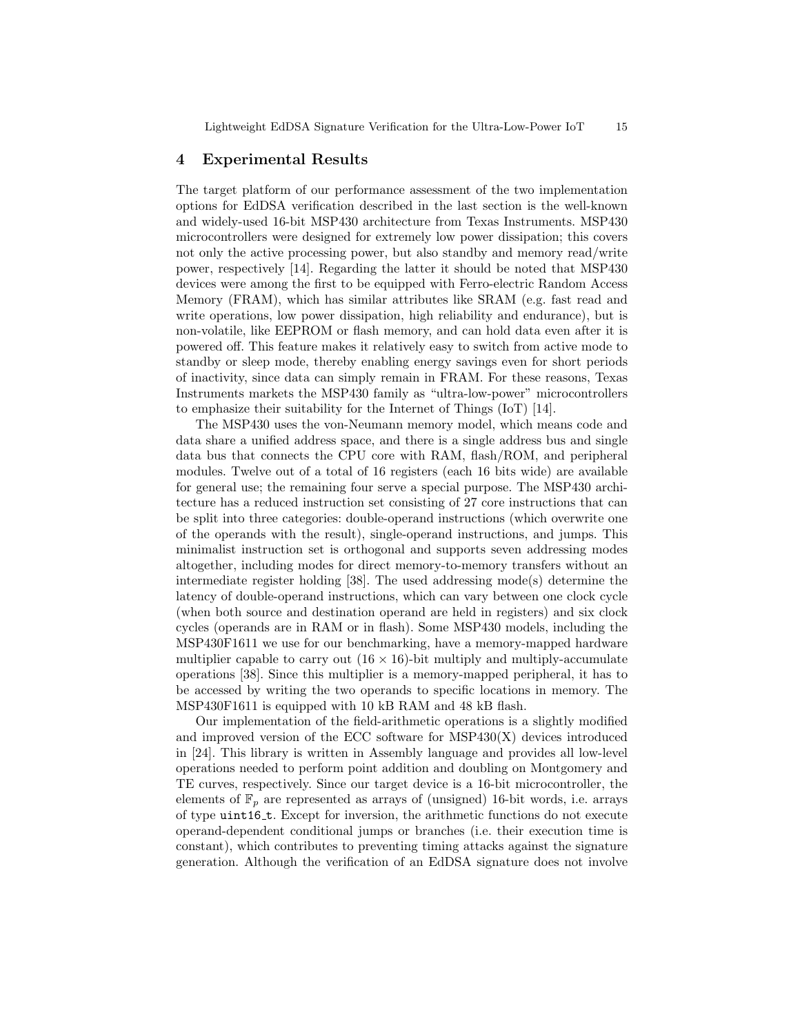# 4 Experimental Results

The target platform of our performance assessment of the two implementation options for EdDSA verification described in the last section is the well-known and widely-used 16-bit MSP430 architecture from Texas Instruments. MSP430 microcontrollers were designed for extremely low power dissipation; this covers not only the active processing power, but also standby and memory read/write power, respectively [14]. Regarding the latter it should be noted that MSP430 devices were among the first to be equipped with Ferro-electric Random Access Memory (FRAM), which has similar attributes like SRAM (e.g. fast read and write operations, low power dissipation, high reliability and endurance), but is non-volatile, like EEPROM or flash memory, and can hold data even after it is powered off. This feature makes it relatively easy to switch from active mode to standby or sleep mode, thereby enabling energy savings even for short periods of inactivity, since data can simply remain in FRAM. For these reasons, Texas Instruments markets the MSP430 family as "ultra-low-power" microcontrollers to emphasize their suitability for the Internet of Things (IoT) [14].

The MSP430 uses the von-Neumann memory model, which means code and data share a unified address space, and there is a single address bus and single data bus that connects the CPU core with RAM, flash/ROM, and peripheral modules. Twelve out of a total of 16 registers (each 16 bits wide) are available for general use; the remaining four serve a special purpose. The MSP430 architecture has a reduced instruction set consisting of 27 core instructions that can be split into three categories: double-operand instructions (which overwrite one of the operands with the result), single-operand instructions, and jumps. This minimalist instruction set is orthogonal and supports seven addressing modes altogether, including modes for direct memory-to-memory transfers without an intermediate register holding [38]. The used addressing mode(s) determine the latency of double-operand instructions, which can vary between one clock cycle (when both source and destination operand are held in registers) and six clock cycles (operands are in RAM or in flash). Some MSP430 models, including the MSP430F1611 we use for our benchmarking, have a memory-mapped hardware multiplier capable to carry out  $(16 \times 16)$ -bit multiply and multiply-accumulate operations [38]. Since this multiplier is a memory-mapped peripheral, it has to be accessed by writing the two operands to specific locations in memory. The MSP430F1611 is equipped with 10 kB RAM and 48 kB flash.

Our implementation of the field-arithmetic operations is a slightly modified and improved version of the ECC software for  $MSP430(X)$  devices introduced in [24]. This library is written in Assembly language and provides all low-level operations needed to perform point addition and doubling on Montgomery and TE curves, respectively. Since our target device is a 16-bit microcontroller, the elements of  $\mathbb{F}_p$  are represented as arrays of (unsigned) 16-bit words, i.e. arrays of type uint16 t. Except for inversion, the arithmetic functions do not execute operand-dependent conditional jumps or branches (i.e. their execution time is constant), which contributes to preventing timing attacks against the signature generation. Although the verification of an EdDSA signature does not involve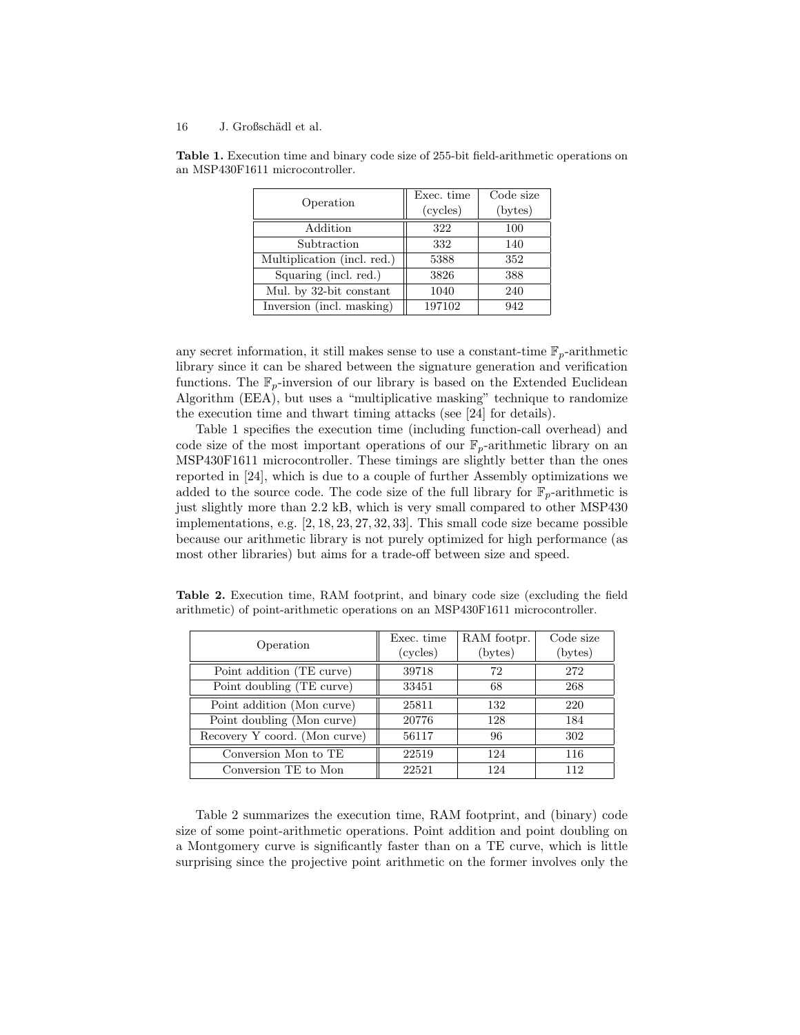| Operation                   | Exec. time<br>(cycles) | Code size<br>(bytes) |
|-----------------------------|------------------------|----------------------|
| Addition                    | 322                    | 100                  |
| Subtraction                 | 332                    | 140                  |
| Multiplication (incl. red.) | 5388                   | 352                  |
| Squaring (incl. red.)       | 3826                   | 388                  |
| Mul. by 32-bit constant     | 1040                   | 240                  |
| Inversion (incl. masking)   | 197102                 | 942                  |

Table 1. Execution time and binary code size of 255-bit field-arithmetic operations on an MSP430F1611 microcontroller.

any secret information, it still makes sense to use a constant-time  $\mathbb{F}_p$ -arithmetic library since it can be shared between the signature generation and verification functions. The  $\mathbb{F}_p$ -inversion of our library is based on the Extended Euclidean Algorithm (EEA), but uses a "multiplicative masking" technique to randomize the execution time and thwart timing attacks (see [24] for details).

Table 1 specifies the execution time (including function-call overhead) and code size of the most important operations of our  $\mathbb{F}_p$ -arithmetic library on an MSP430F1611 microcontroller. These timings are slightly better than the ones reported in [24], which is due to a couple of further Assembly optimizations we added to the source code. The code size of the full library for  $\mathbb{F}_p$ -arithmetic is just slightly more than 2.2 kB, which is very small compared to other MSP430 implementations, e.g. [2, 18, 23, 27, 32, 33]. This small code size became possible because our arithmetic library is not purely optimized for high performance (as most other libraries) but aims for a trade-off between size and speed.

Table 2. Execution time, RAM footprint, and binary code size (excluding the field arithmetic) of point-arithmetic operations on an MSP430F1611 microcontroller.

| Operation                     | Exec. time<br>(cycles) | RAM footpr.<br>(bytes) | Code size<br>(bytes) |
|-------------------------------|------------------------|------------------------|----------------------|
| Point addition (TE curve)     | 39718                  | 72                     | 272                  |
| Point doubling (TE curve)     | 33451                  | 68                     | 268                  |
| Point addition (Mon curve)    | 25811                  | 132                    | 220                  |
| Point doubling (Mon curve)    | 20776                  | 128                    | 184                  |
| Recovery Y coord. (Mon curve) | 56117                  | 96                     | 302                  |
| Conversion Mon to TE          | 22519                  | 124                    | 116                  |
| Conversion TE to Mon          | 22521                  | 124                    | 112                  |

Table 2 summarizes the execution time, RAM footprint, and (binary) code size of some point-arithmetic operations. Point addition and point doubling on a Montgomery curve is significantly faster than on a TE curve, which is little surprising since the projective point arithmetic on the former involves only the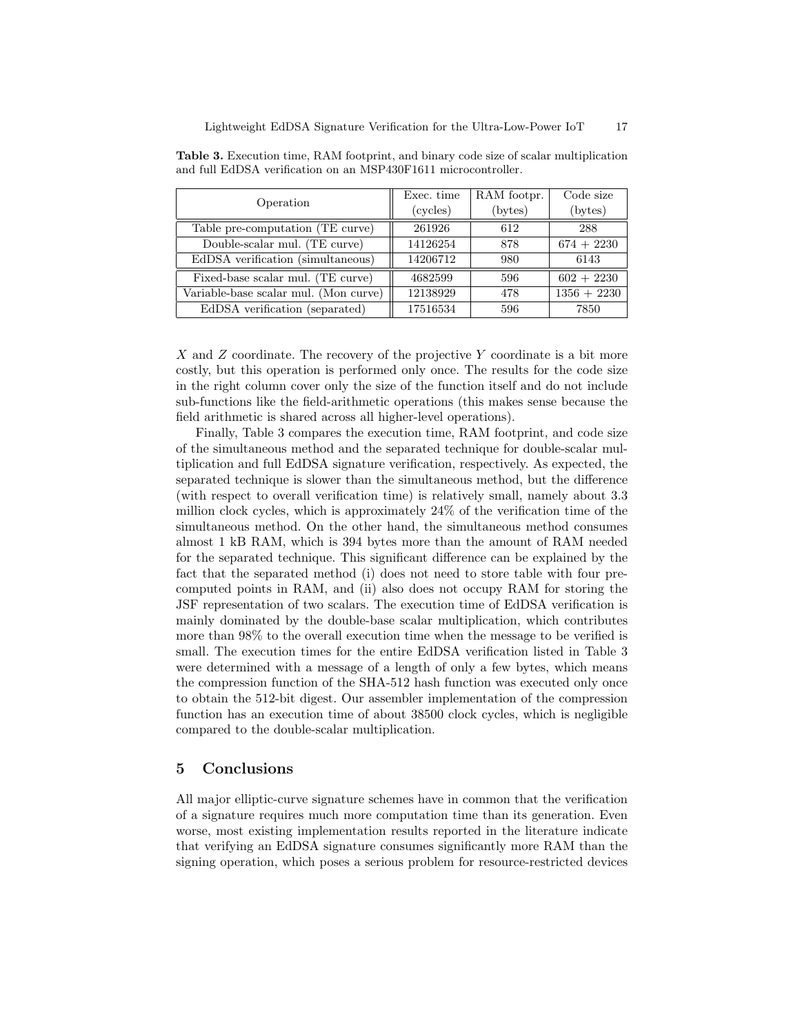| Operation                             | Exec. time | RAM footpr. | Code size        |
|---------------------------------------|------------|-------------|------------------|
|                                       | (cycles)   | (bytes)     | $(\text{bytes})$ |
| Table pre-computation (TE curve)      | 261926     | 612         | 288              |
| Double-scalar mul. (TE curve)         | 14126254   | 878         | $674 + 2230$     |
| EdDSA verification (simultaneous)     | 14206712   | 980         | 6143             |
| Fixed-base scalar mul. (TE curve)     | 4682599    | 596         | $602 + 2230$     |
| Variable-base scalar mul. (Mon curve) | 12138929   | 478         | $1356 + 2230$    |
| EdDSA verification (separated)        | 17516534   | 596         | 7850             |

Table 3. Execution time, RAM footprint, and binary code size of scalar multiplication and full EdDSA verification on an MSP430F1611 microcontroller.

X and Z coordinate. The recovery of the projective Y coordinate is a bit more costly, but this operation is performed only once. The results for the code size in the right column cover only the size of the function itself and do not include sub-functions like the field-arithmetic operations (this makes sense because the field arithmetic is shared across all higher-level operations).

Finally, Table 3 compares the execution time, RAM footprint, and code size of the simultaneous method and the separated technique for double-scalar multiplication and full EdDSA signature verification, respectively. As expected, the separated technique is slower than the simultaneous method, but the difference (with respect to overall verification time) is relatively small, namely about 3.3 million clock cycles, which is approximately 24% of the verification time of the simultaneous method. On the other hand, the simultaneous method consumes almost 1 kB RAM, which is 394 bytes more than the amount of RAM needed for the separated technique. This significant difference can be explained by the fact that the separated method (i) does not need to store table with four precomputed points in RAM, and (ii) also does not occupy RAM for storing the JSF representation of two scalars. The execution time of EdDSA verification is mainly dominated by the double-base scalar multiplication, which contributes more than 98% to the overall execution time when the message to be verified is small. The execution times for the entire EdDSA verification listed in Table 3 were determined with a message of a length of only a few bytes, which means the compression function of the SHA-512 hash function was executed only once to obtain the 512-bit digest. Our assembler implementation of the compression function has an execution time of about 38500 clock cycles, which is negligible compared to the double-scalar multiplication.

# 5 Conclusions

All major elliptic-curve signature schemes have in common that the verification of a signature requires much more computation time than its generation. Even worse, most existing implementation results reported in the literature indicate that verifying an EdDSA signature consumes significantly more RAM than the signing operation, which poses a serious problem for resource-restricted devices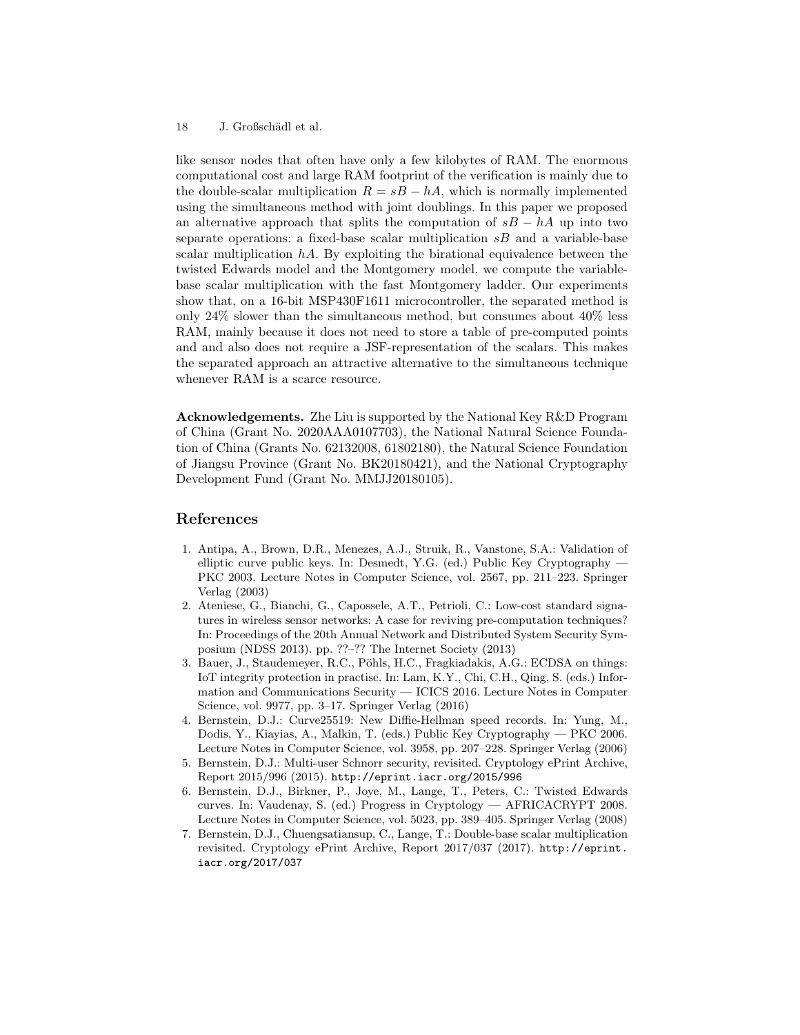like sensor nodes that often have only a few kilobytes of RAM. The enormous computational cost and large RAM footprint of the verification is mainly due to the double-scalar multiplication  $R = sB - hA$ , which is normally implemented using the simultaneous method with joint doublings. In this paper we proposed an alternative approach that splits the computation of  $sB - hA$  up into two separate operations: a fixed-base scalar multiplication  $sB$  and a variable-base scalar multiplication  $hA$ . By exploiting the birational equivalence between the twisted Edwards model and the Montgomery model, we compute the variablebase scalar multiplication with the fast Montgomery ladder. Our experiments show that, on a 16-bit MSP430F1611 microcontroller, the separated method is only  $24\%$  slower than the simultaneous method, but consumes about  $40\%$  less RAM, mainly because it does not need to store a table of pre-computed points and and also does not require a JSF-representation of the scalars. This makes the separated approach an attractive alternative to the simultaneous technique whenever RAM is a scarce resource.

Acknowledgements. Zhe Liu is supported by the National Key R&D Program of China (Grant No. 2020AAA0107703), the National Natural Science Foundation of China (Grants No. 62132008, 61802180), the Natural Science Foundation of Jiangsu Province (Grant No. BK20180421), and the National Cryptography Development Fund (Grant No. MMJJ20180105).

# References

- 1. Antipa, A., Brown, D.R., Menezes, A.J., Struik, R., Vanstone, S.A.: Validation of elliptic curve public keys. In: Desmedt, Y.G. (ed.) Public Key Cryptography — PKC 2003. Lecture Notes in Computer Science, vol. 2567, pp. 211–223. Springer Verlag (2003)
- 2. Ateniese, G., Bianchi, G., Capossele, A.T., Petrioli, C.: Low-cost standard signatures in wireless sensor networks: A case for reviving pre-computation techniques? In: Proceedings of the 20th Annual Network and Distributed System Security Symposium (NDSS 2013). pp. ??–?? The Internet Society (2013)
- 3. Bauer, J., Staudemeyer, R.C., Pöhls, H.C., Fragkiadakis, A.G.: ECDSA on things: IoT integrity protection in practise. In: Lam, K.Y., Chi, C.H., Qing, S. (eds.) Information and Communications Security — ICICS 2016. Lecture Notes in Computer Science, vol. 9977, pp. 3–17. Springer Verlag (2016)
- 4. Bernstein, D.J.: Curve25519: New Diffie-Hellman speed records. In: Yung, M., Dodis, Y., Kiayias, A., Malkin, T. (eds.) Public Key Cryptography — PKC 2006. Lecture Notes in Computer Science, vol. 3958, pp. 207–228. Springer Verlag (2006)
- 5. Bernstein, D.J.: Multi-user Schnorr security, revisited. Cryptology ePrint Archive, Report 2015/996 (2015). http://eprint.iacr.org/2015/996
- 6. Bernstein, D.J., Birkner, P., Joye, M., Lange, T., Peters, C.: Twisted Edwards curves. In: Vaudenay, S. (ed.) Progress in Cryptology — AFRICACRYPT 2008. Lecture Notes in Computer Science, vol. 5023, pp. 389–405. Springer Verlag (2008)
- 7. Bernstein, D.J., Chuengsatiansup, C., Lange, T.: Double-base scalar multiplication revisited. Cryptology ePrint Archive, Report 2017/037 (2017). http://eprint. iacr.org/2017/037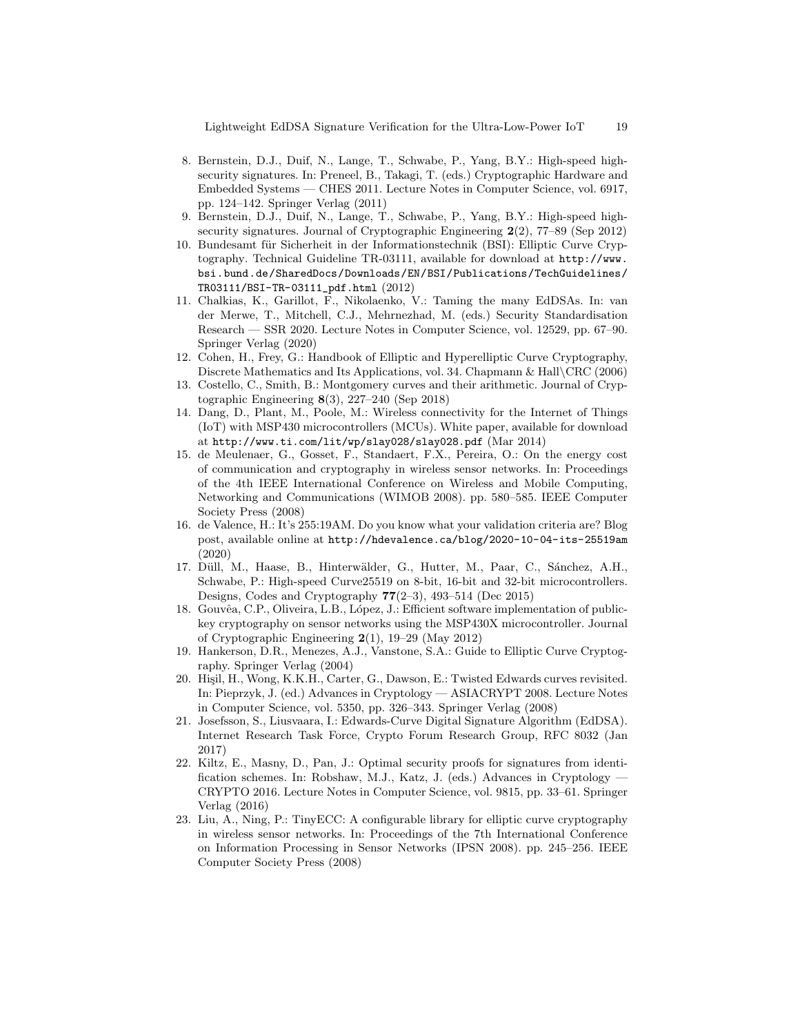Lightweight EdDSA Signature Verification for the Ultra-Low-Power IoT 19

- 8. Bernstein, D.J., Duif, N., Lange, T., Schwabe, P., Yang, B.Y.: High-speed highsecurity signatures. In: Preneel, B., Takagi, T. (eds.) Cryptographic Hardware and Embedded Systems — CHES 2011. Lecture Notes in Computer Science, vol. 6917, pp. 124–142. Springer Verlag (2011)
- 9. Bernstein, D.J., Duif, N., Lange, T., Schwabe, P., Yang, B.Y.: High-speed highsecurity signatures. Journal of Cryptographic Engineering 2(2), 77–89 (Sep 2012)
- 10. Bundesamt für Sicherheit in der Informationstechnik (BSI): Elliptic Curve Cryptography. Technical Guideline TR-03111, available for download at http://www. bsi.bund.de/SharedDocs/Downloads/EN/BSI/Publications/TechGuidelines/ TR03111/BSI-TR-03111\_pdf.html (2012)
- 11. Chalkias, K., Garillot, F., Nikolaenko, V.: Taming the many EdDSAs. In: van der Merwe, T., Mitchell, C.J., Mehrnezhad, M. (eds.) Security Standardisation Research — SSR 2020. Lecture Notes in Computer Science, vol. 12529, pp. 67–90. Springer Verlag (2020)
- 12. Cohen, H., Frey, G.: Handbook of Elliptic and Hyperelliptic Curve Cryptography, Discrete Mathematics and Its Applications, vol. 34. Chapmann & Hall\CRC (2006)
- 13. Costello, C., Smith, B.: Montgomery curves and their arithmetic. Journal of Cryptographic Engineering 8(3), 227–240 (Sep 2018)
- 14. Dang, D., Plant, M., Poole, M.: Wireless connectivity for the Internet of Things (IoT) with MSP430 microcontrollers (MCUs). White paper, available for download at http://www.ti.com/lit/wp/slay028/slay028.pdf (Mar 2014)
- 15. de Meulenaer, G., Gosset, F., Standaert, F.X., Pereira, O.: On the energy cost of communication and cryptography in wireless sensor networks. In: Proceedings of the 4th IEEE International Conference on Wireless and Mobile Computing, Networking and Communications (WIMOB 2008). pp. 580–585. IEEE Computer Society Press (2008)
- 16. de Valence, H.: It's 255:19AM. Do you know what your validation criteria are? Blog post, available online at http://hdevalence.ca/blog/2020-10-04-its-25519am (2020)
- 17. Düll, M., Haase, B., Hinterwälder, G., Hutter, M., Paar, C., Sánchez, A.H., Schwabe, P.: High-speed Curve25519 on 8-bit, 16-bit and 32-bit microcontrollers. Designs, Codes and Cryptography 77(2–3), 493–514 (Dec 2015)
- 18. Gouvêa, C.P., Oliveira, L.B., López, J.: Efficient software implementation of publickey cryptography on sensor networks using the MSP430X microcontroller. Journal of Cryptographic Engineering 2(1), 19–29 (May 2012)
- 19. Hankerson, D.R., Menezes, A.J., Vanstone, S.A.: Guide to Elliptic Curve Cryptography. Springer Verlag (2004)
- 20. Hişil, H., Wong, K.K.H., Carter, G., Dawson, E.: Twisted Edwards curves revisited. In: Pieprzyk, J. (ed.) Advances in Cryptology — ASIACRYPT 2008. Lecture Notes in Computer Science, vol. 5350, pp. 326–343. Springer Verlag (2008)
- 21. Josefsson, S., Liusvaara, I.: Edwards-Curve Digital Signature Algorithm (EdDSA). Internet Research Task Force, Crypto Forum Research Group, RFC 8032 (Jan 2017)
- 22. Kiltz, E., Masny, D., Pan, J.: Optimal security proofs for signatures from identification schemes. In: Robshaw, M.J., Katz, J. (eds.) Advances in Cryptology — CRYPTO 2016. Lecture Notes in Computer Science, vol. 9815, pp. 33–61. Springer Verlag (2016)
- 23. Liu, A., Ning, P.: TinyECC: A configurable library for elliptic curve cryptography in wireless sensor networks. In: Proceedings of the 7th International Conference on Information Processing in Sensor Networks (IPSN 2008). pp. 245–256. IEEE Computer Society Press (2008)